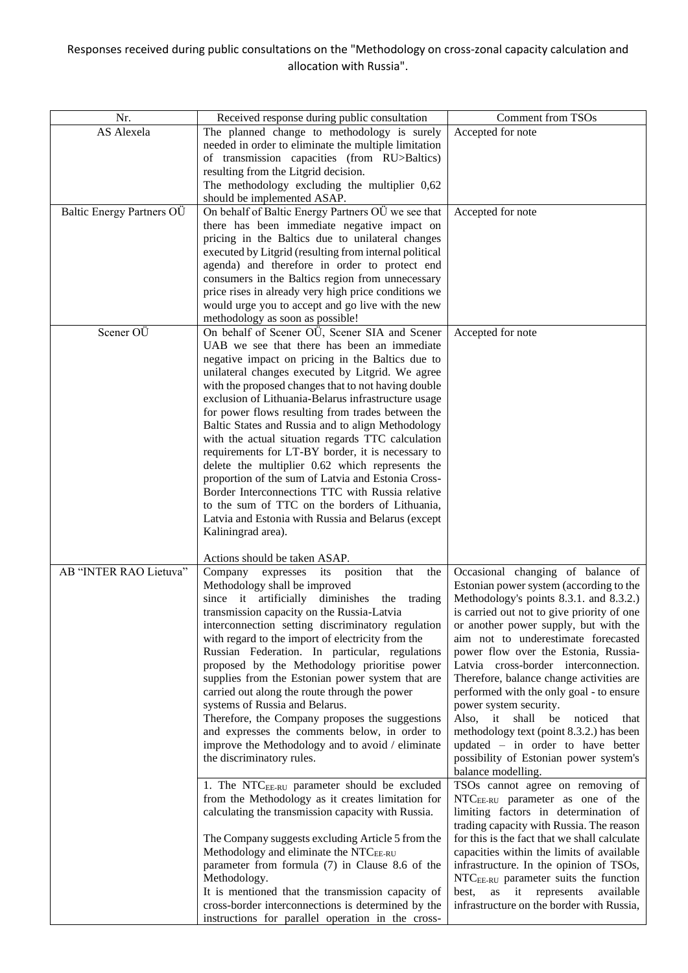## Responses received during public consultations on the "Methodology on cross-zonal capacity calculation and allocation with Russia".

| Nr.                       | Received response during public consultation             | <b>Comment from TSOs</b>                          |
|---------------------------|----------------------------------------------------------|---------------------------------------------------|
| AS Alexela                | The planned change to methodology is surely              | Accepted for note                                 |
|                           | needed in order to eliminate the multiple limitation     |                                                   |
|                           | of transmission capacities (from RU>Baltics)             |                                                   |
|                           | resulting from the Litgrid decision.                     |                                                   |
|                           | The methodology excluding the multiplier 0,62            |                                                   |
|                           | should be implemented ASAP.                              |                                                   |
| Baltic Energy Partners OÜ | On behalf of Baltic Energy Partners OÜ we see that       | Accepted for note                                 |
|                           | there has been immediate negative impact on              |                                                   |
|                           | pricing in the Baltics due to unilateral changes         |                                                   |
|                           | executed by Litgrid (resulting from internal political   |                                                   |
|                           | agenda) and therefore in order to protect end            |                                                   |
|                           | consumers in the Baltics region from unnecessary         |                                                   |
|                           | price rises in already very high price conditions we     |                                                   |
|                           | would urge you to accept and go live with the new        |                                                   |
|                           | methodology as soon as possible!                         |                                                   |
| Scener OÜ                 | On behalf of Scener OÜ, Scener SIA and Scener            | Accepted for note                                 |
|                           | UAB we see that there has been an immediate              |                                                   |
|                           | negative impact on pricing in the Baltics due to         |                                                   |
|                           | unilateral changes executed by Litgrid. We agree         |                                                   |
|                           | with the proposed changes that to not having double      |                                                   |
|                           | exclusion of Lithuania-Belarus infrastructure usage      |                                                   |
|                           | for power flows resulting from trades between the        |                                                   |
|                           | Baltic States and Russia and to align Methodology        |                                                   |
|                           | with the actual situation regards TTC calculation        |                                                   |
|                           | requirements for LT-BY border, it is necessary to        |                                                   |
|                           | delete the multiplier 0.62 which represents the          |                                                   |
|                           | proportion of the sum of Latvia and Estonia Cross-       |                                                   |
|                           | Border Interconnections TTC with Russia relative         |                                                   |
|                           | to the sum of TTC on the borders of Lithuania,           |                                                   |
|                           | Latvia and Estonia with Russia and Belarus (except       |                                                   |
|                           | Kaliningrad area).                                       |                                                   |
|                           |                                                          |                                                   |
|                           | Actions should be taken ASAP.                            |                                                   |
| AB "INTER RAO Lietuva"    | Company<br>expresses its position<br>that<br>the         | Occasional changing of balance of                 |
|                           | Methodology shall be improved                            | Estonian power system (according to the           |
|                           | since it artificially diminishes the trading             | Methodology's points 8.3.1. and 8.3.2.)           |
|                           | transmission capacity on the Russia-Latvia               | is carried out not to give priority of one        |
|                           | interconnection setting discriminatory regulation        | or another power supply, but with the             |
|                           | with regard to the import of electricity from the        | aim not to underestimate forecasted               |
|                           | Russian Federation. In particular, regulations           | power flow over the Estonia, Russia-              |
|                           | proposed by the Methodology prioritise power             | Latvia cross-border interconnection.              |
|                           | supplies from the Estonian power system that are         | Therefore, balance change activities are          |
|                           | carried out along the route through the power            | performed with the only goal - to ensure          |
|                           | systems of Russia and Belarus.                           | power system security.                            |
|                           | Therefore, the Company proposes the suggestions          | Also, it shall be<br>noticed<br>that              |
|                           | and expresses the comments below, in order to            | methodology text (point 8.3.2.) has been          |
|                           | improve the Methodology and to avoid / eliminate         | updated $-$ in order to have better               |
|                           | the discriminatory rules.                                | possibility of Estonian power system's            |
|                           |                                                          | balance modelling.                                |
|                           | 1. The NTC <sub>EE-RU</sub> parameter should be excluded | TSOs cannot agree on removing of                  |
|                           | from the Methodology as it creates limitation for        | NTC <sub>EE-RU</sub> parameter as one of the      |
|                           | calculating the transmission capacity with Russia.       | limiting factors in determination of              |
|                           |                                                          | trading capacity with Russia. The reason          |
|                           | The Company suggests excluding Article 5 from the        | for this is the fact that we shall calculate      |
|                           | Methodology and eliminate the NTCEE-RU                   | capacities within the limits of available         |
|                           | parameter from formula (7) in Clause 8.6 of the          | infrastructure. In the opinion of TSOs,           |
|                           | Methodology.                                             | NTC <sub>EE-RU</sub> parameter suits the function |
|                           | It is mentioned that the transmission capacity of        | best,<br>as<br>it<br>represents<br>available      |
|                           | cross-border interconnections is determined by the       | infrastructure on the border with Russia,         |
|                           | instructions for parallel operation in the cross-        |                                                   |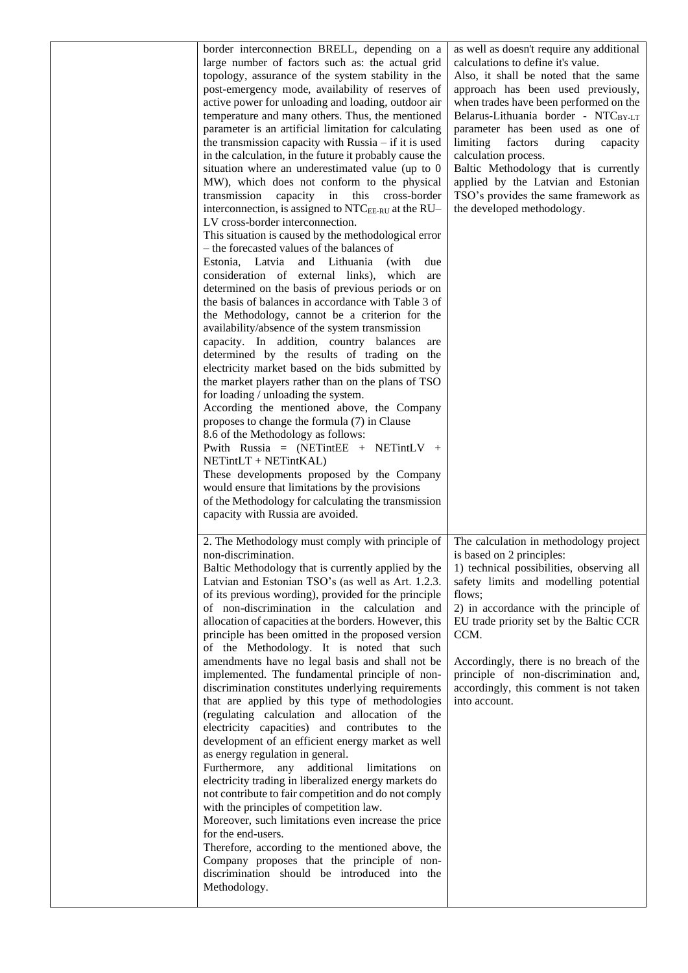| border interconnection BRELL, depending on a<br>large number of factors such as: the actual grid<br>topology, assurance of the system stability in the<br>post-emergency mode, availability of reserves of<br>active power for unloading and loading, outdoor air<br>temperature and many others. Thus, the mentioned<br>parameter is an artificial limitation for calculating<br>the transmission capacity with Russia $-$ if it is used<br>in the calculation, in the future it probably cause the<br>situation where an underestimated value (up to 0<br>MW), which does not conform to the physical<br>transmission<br>capacity<br>in<br>this<br>cross-border<br>interconnection, is assigned to NTC <sub>EE-RU</sub> at the RU-<br>LV cross-border interconnection.<br>This situation is caused by the methodological error<br>- the forecasted values of the balances of<br>Estonia, Latvia and Lithuania<br>(with)<br>due<br>consideration of external links), which<br>are<br>determined on the basis of previous periods or on<br>the basis of balances in accordance with Table 3 of<br>the Methodology, cannot be a criterion for the<br>availability/absence of the system transmission<br>capacity. In addition, country balances are<br>determined by the results of trading on the<br>electricity market based on the bids submitted by<br>the market players rather than on the plans of TSO<br>for loading / unloading the system.<br>According the mentioned above, the Company<br>proposes to change the formula (7) in Clause<br>8.6 of the Methodology as follows:<br>Pwith Russia = $(NETintEE + NETintLV +$<br>NETintLT + NETintKAL)<br>These developments proposed by the Company<br>would ensure that limitations by the provisions<br>of the Methodology for calculating the transmission<br>capacity with Russia are avoided. | as well as doesn't require any additional<br>calculations to define it's value.<br>Also, it shall be noted that the same<br>approach has been used previously,<br>when trades have been performed on the<br>Belarus-Lithuania border - NTCBY-LT<br>parameter has been used as one of<br>limiting<br>factors<br>during<br>capacity<br>calculation process.<br>Baltic Methodology that is currently<br>applied by the Latvian and Estonian<br>TSO's provides the same framework as<br>the developed methodology. |
|----------------------------------------------------------------------------------------------------------------------------------------------------------------------------------------------------------------------------------------------------------------------------------------------------------------------------------------------------------------------------------------------------------------------------------------------------------------------------------------------------------------------------------------------------------------------------------------------------------------------------------------------------------------------------------------------------------------------------------------------------------------------------------------------------------------------------------------------------------------------------------------------------------------------------------------------------------------------------------------------------------------------------------------------------------------------------------------------------------------------------------------------------------------------------------------------------------------------------------------------------------------------------------------------------------------------------------------------------------------------------------------------------------------------------------------------------------------------------------------------------------------------------------------------------------------------------------------------------------------------------------------------------------------------------------------------------------------------------------------------------------------------------------------------------------------------------------------------------------|----------------------------------------------------------------------------------------------------------------------------------------------------------------------------------------------------------------------------------------------------------------------------------------------------------------------------------------------------------------------------------------------------------------------------------------------------------------------------------------------------------------|
| 2. The Methodology must comply with principle of<br>non-discrimination.<br>Baltic Methodology that is currently applied by the<br>Latvian and Estonian TSO's (as well as Art. 1.2.3.<br>of its previous wording), provided for the principle<br>of non-discrimination in the calculation and<br>allocation of capacities at the borders. However, this<br>principle has been omitted in the proposed version<br>of the Methodology. It is noted that such<br>amendments have no legal basis and shall not be<br>implemented. The fundamental principle of non-<br>discrimination constitutes underlying requirements<br>that are applied by this type of methodologies<br>(regulating calculation and allocation of the<br>electricity capacities) and contributes to the<br>development of an efficient energy market as well<br>as energy regulation in general.<br>Furthermore, any additional<br>limitations<br>on<br>electricity trading in liberalized energy markets do<br>not contribute to fair competition and do not comply<br>with the principles of competition law.<br>Moreover, such limitations even increase the price<br>for the end-users.<br>Therefore, according to the mentioned above, the<br>Company proposes that the principle of non-<br>discrimination should be introduced into the<br>Methodology.                                                                                                                                                                                                                                                                                                                                                                                                                                                                                                                         | The calculation in methodology project<br>is based on 2 principles:<br>1) technical possibilities, observing all<br>safety limits and modelling potential<br>flows;<br>2) in accordance with the principle of<br>EU trade priority set by the Baltic CCR<br>CCM.<br>Accordingly, there is no breach of the<br>principle of non-discrimination and,<br>accordingly, this comment is not taken<br>into account.                                                                                                  |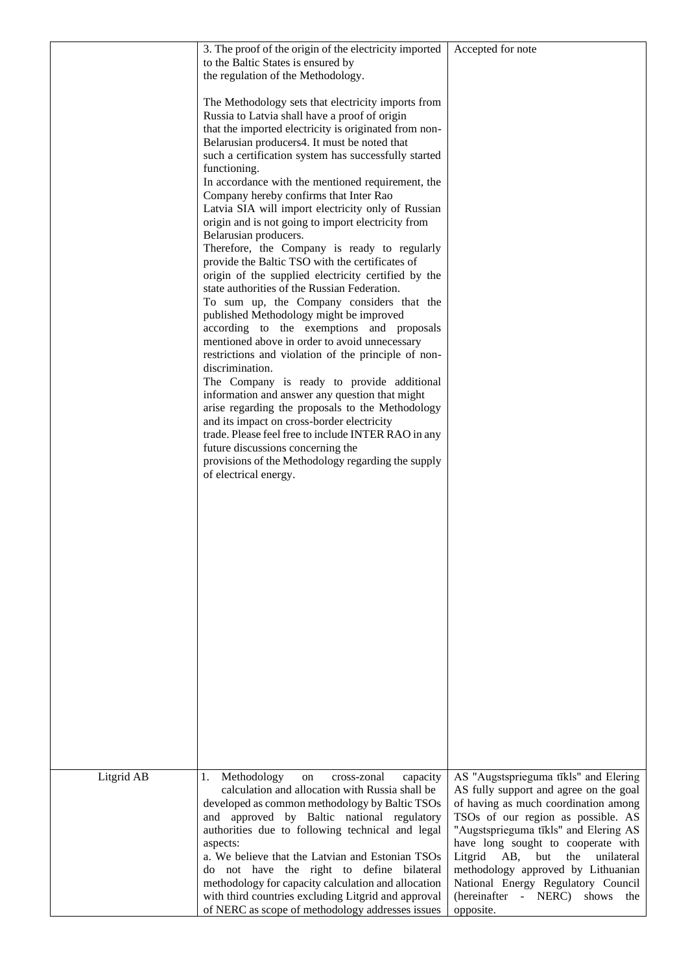|            | 3. The proof of the origin of the electricity imported<br>to the Baltic States is ensured by               | Accepted for note                                                                |
|------------|------------------------------------------------------------------------------------------------------------|----------------------------------------------------------------------------------|
|            | the regulation of the Methodology.                                                                         |                                                                                  |
|            | The Methodology sets that electricity imports from<br>Russia to Latvia shall have a proof of origin        |                                                                                  |
|            | that the imported electricity is originated from non-<br>Belarusian producers4. It must be noted that      |                                                                                  |
|            | such a certification system has successfully started<br>functioning.                                       |                                                                                  |
|            | In accordance with the mentioned requirement, the                                                          |                                                                                  |
|            | Company hereby confirms that Inter Rao<br>Latvia SIA will import electricity only of Russian               |                                                                                  |
|            | origin and is not going to import electricity from<br>Belarusian producers.                                |                                                                                  |
|            | Therefore, the Company is ready to regularly<br>provide the Baltic TSO with the certificates of            |                                                                                  |
|            | origin of the supplied electricity certified by the<br>state authorities of the Russian Federation.        |                                                                                  |
|            | To sum up, the Company considers that the                                                                  |                                                                                  |
|            | published Methodology might be improved<br>according to the exemptions and proposals                       |                                                                                  |
|            | mentioned above in order to avoid unnecessary<br>restrictions and violation of the principle of non-       |                                                                                  |
|            | discrimination.<br>The Company is ready to provide additional                                              |                                                                                  |
|            | information and answer any question that might<br>arise regarding the proposals to the Methodology         |                                                                                  |
|            | and its impact on cross-border electricity<br>trade. Please feel free to include INTER RAO in any          |                                                                                  |
|            | future discussions concerning the                                                                          |                                                                                  |
|            | provisions of the Methodology regarding the supply<br>of electrical energy.                                |                                                                                  |
|            |                                                                                                            |                                                                                  |
|            |                                                                                                            |                                                                                  |
|            |                                                                                                            |                                                                                  |
|            |                                                                                                            |                                                                                  |
|            |                                                                                                            |                                                                                  |
|            |                                                                                                            |                                                                                  |
|            |                                                                                                            |                                                                                  |
|            |                                                                                                            |                                                                                  |
|            |                                                                                                            |                                                                                  |
|            |                                                                                                            |                                                                                  |
|            |                                                                                                            |                                                                                  |
| Litgrid AB | Methodology<br>1.<br>cross-zonal<br>capacity<br>on                                                         | AS "Augstsprieguma tīkls" and Elering                                            |
|            | calculation and allocation with Russia shall be<br>developed as common methodology by Baltic TSOs          | AS fully support and agree on the goal<br>of having as much coordination among   |
|            | and approved by Baltic national regulatory<br>authorities due to following technical and legal             | TSOs of our region as possible. AS<br>"Augstsprieguma tīkls" and Elering AS      |
|            | aspects:<br>a. We believe that the Latvian and Estonian TSOs                                               | have long sought to cooperate with<br>Litgrid<br>AB,<br>but<br>the<br>unilateral |
|            | do not have the right to define bilateral                                                                  | methodology approved by Lithuanian                                               |
|            | methodology for capacity calculation and allocation<br>with third countries excluding Litgrid and approval | National Energy Regulatory Council<br>(hereinafter - NERC)<br>shows<br>the       |
|            | of NERC as scope of methodology addresses issues                                                           | opposite.                                                                        |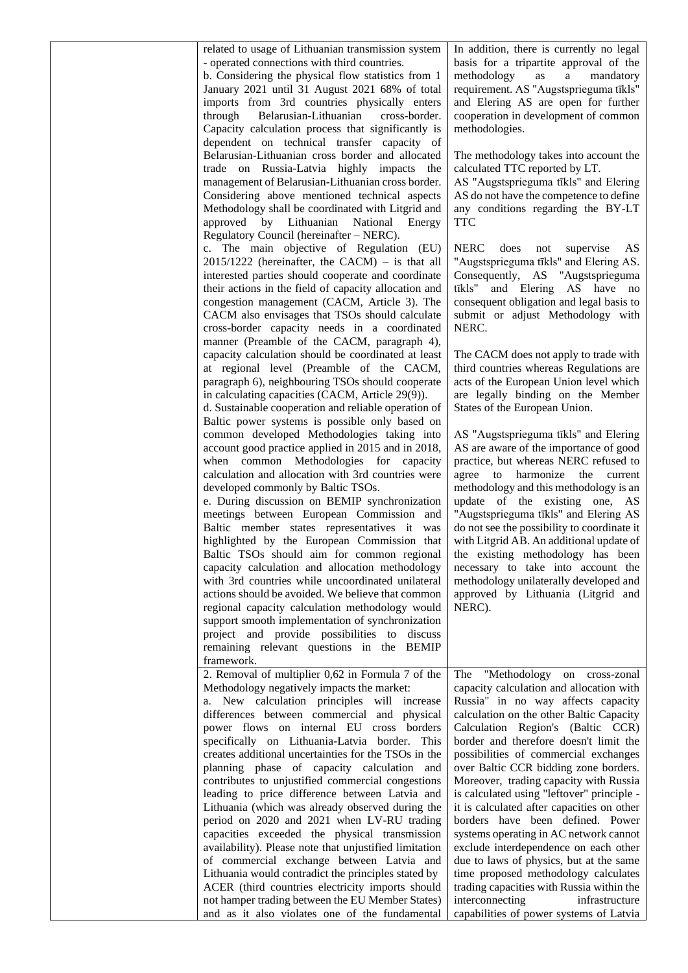| related to usage of Lithuanian transmission system<br>- operated connections with third countries.<br>b. Considering the physical flow statistics from 1<br>January 2021 until 31 August 2021 68% of total<br>imports from 3rd countries physically enters<br>through<br>Belarusian-Lithuanian<br>cross-border.<br>Capacity calculation process that significantly is<br>dependent on technical transfer capacity of<br>Belarusian-Lithuanian cross border and allocated<br>trade on Russia-Latvia highly impacts the<br>management of Belarusian-Lithuanian cross border.<br>Considering above mentioned technical aspects<br>Methodology shall be coordinated with Litgrid and                                                                                                                                                                                                                                                                                                   | In addition, there is currently no legal<br>basis for a tripartite approval of the<br>methodology<br>as<br>a<br>mandatory<br>requirement. AS "Augstsprieguma tīkls"<br>and Elering AS are open for further<br>cooperation in development of common<br>methodologies.<br>The methodology takes into account the<br>calculated TTC reported by LT.<br>AS "Augstsprieguma tīkls" and Elering<br>AS do not have the competence to define<br>any conditions regarding the BY-LT                                                                                                                                                                                                                                                                                                                                        |
|------------------------------------------------------------------------------------------------------------------------------------------------------------------------------------------------------------------------------------------------------------------------------------------------------------------------------------------------------------------------------------------------------------------------------------------------------------------------------------------------------------------------------------------------------------------------------------------------------------------------------------------------------------------------------------------------------------------------------------------------------------------------------------------------------------------------------------------------------------------------------------------------------------------------------------------------------------------------------------|-------------------------------------------------------------------------------------------------------------------------------------------------------------------------------------------------------------------------------------------------------------------------------------------------------------------------------------------------------------------------------------------------------------------------------------------------------------------------------------------------------------------------------------------------------------------------------------------------------------------------------------------------------------------------------------------------------------------------------------------------------------------------------------------------------------------|
| approved by Lithuanian<br>National Energy<br>Regulatory Council (hereinafter – NERC).<br>c. The main objective of Regulation (EU)<br>$2015/1222$ (hereinafter, the CACM) – is that all<br>interested parties should cooperate and coordinate<br>their actions in the field of capacity allocation and<br>congestion management (CACM, Article 3). The<br>CACM also envisages that TSOs should calculate<br>cross-border capacity needs in a coordinated<br>manner (Preamble of the CACM, paragraph 4),                                                                                                                                                                                                                                                                                                                                                                                                                                                                             | <b>TTC</b><br><b>NERC</b><br>AS<br>does<br>supervise<br>not<br>"Augstsprieguma tīkls" and Elering AS.<br>Consequently, AS "Augstsprieguma<br>and Elering AS have no<br>tīkls"<br>consequent obligation and legal basis to<br>submit or adjust Methodology with<br>NERC.                                                                                                                                                                                                                                                                                                                                                                                                                                                                                                                                           |
| capacity calculation should be coordinated at least<br>at regional level (Preamble of the CACM,<br>paragraph 6), neighbouring TSOs should cooperate<br>in calculating capacities (CACM, Article 29(9)).<br>d. Sustainable cooperation and reliable operation of<br>Baltic power systems is possible only based on                                                                                                                                                                                                                                                                                                                                                                                                                                                                                                                                                                                                                                                                  | The CACM does not apply to trade with<br>third countries whereas Regulations are<br>acts of the European Union level which<br>are legally binding on the Member<br>States of the European Union.                                                                                                                                                                                                                                                                                                                                                                                                                                                                                                                                                                                                                  |
| common developed Methodologies taking into<br>account good practice applied in 2015 and in 2018,<br>when common Methodologies for capacity<br>calculation and allocation with 3rd countries were<br>developed commonly by Baltic TSOs.<br>e. During discussion on BEMIP synchronization<br>meetings between European Commission and<br>Baltic member states representatives it was<br>highlighted by the European Commission that<br>Baltic TSOs should aim for common regional<br>capacity calculation and allocation methodology<br>with 3rd countries while uncoordinated unilateral<br>actions should be avoided. We believe that common<br>regional capacity calculation methodology would<br>support smooth implementation of synchronization<br>project and provide possibilities to discuss<br>remaining relevant questions in the BEMIP<br>framework.                                                                                                                     | AS "Augstsprieguma tīkls" and Elering<br>AS are aware of the importance of good<br>practice, but whereas NERC refused to<br>agree to harmonize the current<br>methodology and this methodology is an<br>update of the existing one, AS<br>"Augstsprieguma tīkls" and Elering AS<br>do not see the possibility to coordinate it<br>with Litgrid AB. An additional update of<br>the existing methodology has been<br>necessary to take into account the<br>methodology unilaterally developed and<br>approved by Lithuania (Litgrid and<br>NERC).                                                                                                                                                                                                                                                                   |
| 2. Removal of multiplier 0,62 in Formula 7 of the<br>Methodology negatively impacts the market:<br>a. New calculation principles will increase<br>differences between commercial and physical<br>power flows on internal EU cross borders<br>specifically on Lithuania-Latvia border. This<br>creates additional uncertainties for the TSOs in the<br>planning phase of capacity calculation and<br>contributes to unjustified commercial congestions<br>leading to price difference between Latvia and<br>Lithuania (which was already observed during the<br>period on 2020 and 2021 when LV-RU trading<br>capacities exceeded the physical transmission<br>availability). Please note that unjustified limitation<br>of commercial exchange between Latvia and<br>Lithuania would contradict the principles stated by<br>ACER (third countries electricity imports should<br>not hamper trading between the EU Member States)<br>and as it also violates one of the fundamental | "Methodology<br>The<br>on cross-zonal<br>capacity calculation and allocation with<br>Russia" in no way affects capacity<br>calculation on the other Baltic Capacity<br>Calculation Region's (Baltic CCR)<br>border and therefore doesn't limit the<br>possibilities of commercial exchanges<br>over Baltic CCR bidding zone borders.<br>Moreover, trading capacity with Russia<br>is calculated using "leftover" principle -<br>it is calculated after capacities on other<br>borders have been defined. Power<br>systems operating in AC network cannot<br>exclude interdependence on each other<br>due to laws of physics, but at the same<br>time proposed methodology calculates<br>trading capacities with Russia within the<br>interconnecting<br>infrastructure<br>capabilities of power systems of Latvia |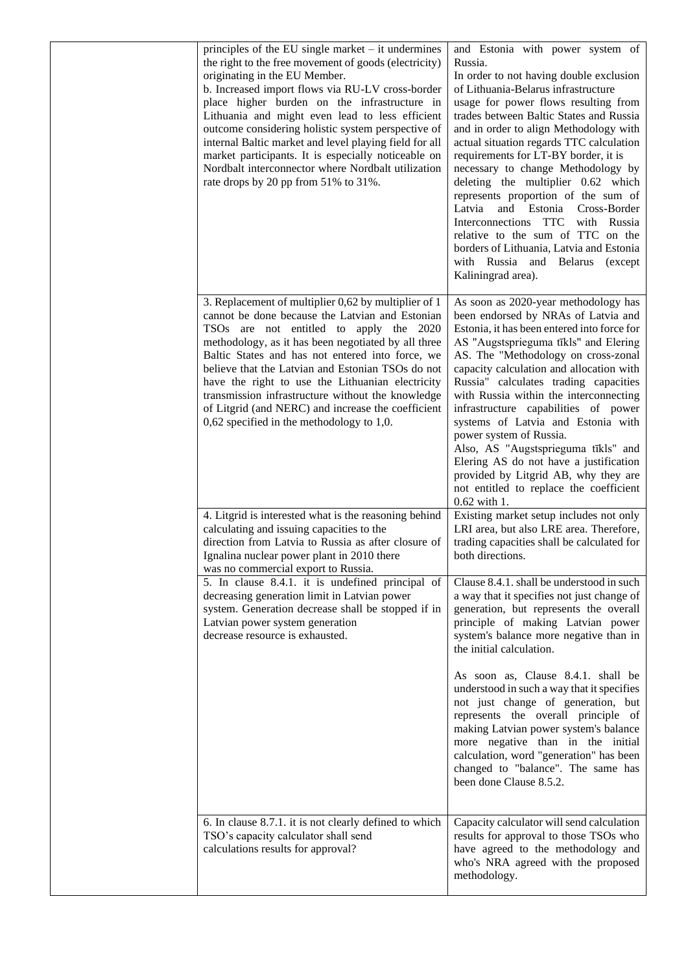| principles of the EU single market $-$ it undermines<br>the right to the free movement of goods (electricity)<br>originating in the EU Member.<br>b. Increased import flows via RU-LV cross-border<br>place higher burden on the infrastructure in<br>Lithuania and might even lead to less efficient<br>outcome considering holistic system perspective of<br>internal Baltic market and level playing field for all<br>market participants. It is especially noticeable on<br>Nordbalt interconnector where Nordbalt utilization<br>rate drops by 20 pp from 51% to 31%. | and Estonia with power system of<br>Russia.<br>In order to not having double exclusion<br>of Lithuania-Belarus infrastructure<br>usage for power flows resulting from<br>trades between Baltic States and Russia<br>and in order to align Methodology with<br>actual situation regards TTC calculation<br>requirements for LT-BY border, it is<br>necessary to change Methodology by<br>deleting the multiplier 0.62 which<br>represents proportion of the sum of<br>and Estonia Cross-Border<br>Latvia<br>Interconnections TTC with Russia<br>relative to the sum of TTC on the<br>borders of Lithuania, Latvia and Estonia<br>with Russia and Belarus (except<br>Kaliningrad area). |
|----------------------------------------------------------------------------------------------------------------------------------------------------------------------------------------------------------------------------------------------------------------------------------------------------------------------------------------------------------------------------------------------------------------------------------------------------------------------------------------------------------------------------------------------------------------------------|---------------------------------------------------------------------------------------------------------------------------------------------------------------------------------------------------------------------------------------------------------------------------------------------------------------------------------------------------------------------------------------------------------------------------------------------------------------------------------------------------------------------------------------------------------------------------------------------------------------------------------------------------------------------------------------|
| 3. Replacement of multiplier 0,62 by multiplier of 1<br>cannot be done because the Latvian and Estonian<br>TSOs are not entitled to apply the 2020<br>methodology, as it has been negotiated by all three<br>Baltic States and has not entered into force, we<br>believe that the Latvian and Estonian TSOs do not<br>have the right to use the Lithuanian electricity<br>transmission infrastructure without the knowledge<br>of Litgrid (and NERC) and increase the coefficient<br>$0,62$ specified in the methodology to 1,0.                                           | As soon as 2020-year methodology has<br>been endorsed by NRAs of Latvia and<br>Estonia, it has been entered into force for<br>AS "Augstsprieguma tīkls" and Elering<br>AS. The "Methodology on cross-zonal<br>capacity calculation and allocation with<br>Russia" calculates trading capacities<br>with Russia within the interconnecting<br>infrastructure capabilities of power<br>systems of Latvia and Estonia with<br>power system of Russia.<br>Also, AS "Augstsprieguma tīkls" and<br>Elering AS do not have a justification<br>provided by Litgrid AB, why they are<br>not entitled to replace the coefficient<br>0.62 with 1.                                                |
| 4. Litgrid is interested what is the reasoning behind<br>calculating and issuing capacities to the<br>direction from Latvia to Russia as after closure of<br>Ignalina nuclear power plant in 2010 there<br>was no commercial export to Russia.                                                                                                                                                                                                                                                                                                                             | Existing market setup includes not only<br>LRI area, but also LRE area. Therefore,<br>trading capacities shall be calculated for<br>both directions.                                                                                                                                                                                                                                                                                                                                                                                                                                                                                                                                  |
| 5. In clause 8.4.1. it is undefined principal of<br>decreasing generation limit in Latvian power<br>system. Generation decrease shall be stopped if in<br>Latvian power system generation<br>decrease resource is exhausted.                                                                                                                                                                                                                                                                                                                                               | Clause 8.4.1. shall be understood in such<br>a way that it specifies not just change of<br>generation, but represents the overall<br>principle of making Latvian power<br>system's balance more negative than in<br>the initial calculation.                                                                                                                                                                                                                                                                                                                                                                                                                                          |
|                                                                                                                                                                                                                                                                                                                                                                                                                                                                                                                                                                            | As soon as, Clause 8.4.1. shall be<br>understood in such a way that it specifies<br>not just change of generation, but<br>represents the overall principle of<br>making Latvian power system's balance<br>more negative than in the initial<br>calculation, word "generation" has been<br>changed to "balance". The same has<br>been done Clause 8.5.2.                                                                                                                                                                                                                                                                                                                               |
| 6. In clause 8.7.1. it is not clearly defined to which<br>TSO's capacity calculator shall send<br>calculations results for approval?                                                                                                                                                                                                                                                                                                                                                                                                                                       | Capacity calculator will send calculation<br>results for approval to those TSOs who<br>have agreed to the methodology and<br>who's NRA agreed with the proposed<br>methodology.                                                                                                                                                                                                                                                                                                                                                                                                                                                                                                       |